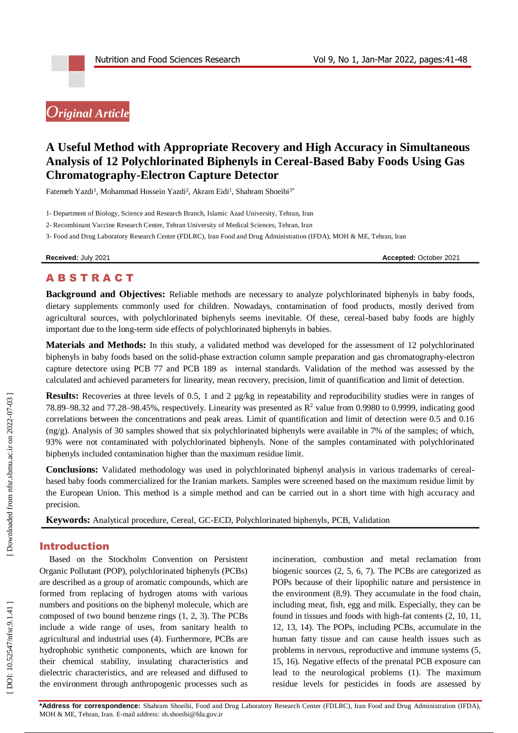# *Original Article*

# **A Useful Method with Appropriate Recovery and High Accuracy in Simultaneous Analysis of 12 Polychlorinated Biphenyls in Cereal -Based Baby Foods Using Gas Chromatography -Electron Capture Detector**

Fatemeh Yazdi<sup>1</sup>, Mohammad Hossein Yazdi<sup>2</sup>, Akram Eidi<sup>1</sup>, Shahram Shoeibi<sup>3\*</sup>

1 - Department of Biology, Science and Research Branch, Islamic Azad University, Tehran, Iran

2 - Recombinant Vaccine Research Center, Tehran University of Medical Sciences, Tehran, Iran

3 - Food and Drug Laboratory Research Center (FDLRC), Iran Food and Drug Administration (IFDA), MOH & ME, Tehran, Iran

**Received:** July 2021 **Accepted:** October 2021

## **ABSTRACT**

**Background and Objectives:** Reliable methods are necessary to analyze polychlorinated biphenyls in baby foods, dietary supplements commonly used for children. Nowadays, contamination of food products, mostly derived from agricultural sources, with polychlorinated biphenyls seems inevitable. Of these, cereal -based baby foods are highly important due to the long -term side effects of polychlorinated biphenyls in babies.

**Materials and Methods:** In this study, a validated method was developed for the assessment of 12 polychlorinated biphenyls in baby foods based on the solid -phase extraction column sample preparation and gas chromatography -electron capture detectore using PCB 77 and PCB 189 as internal standards. Validation of the method was assessed by the calculated and achieved parameters for linearity, mean recovery, precision, limit of quantification and limit of detection.

**Results:** Recoveries at three levels of 0.5, 1 and 2  $\mu$ g/kg in repeatability and reproducibility studies were in ranges of 78.89–98.32 and 77.28–98.45%, respectively. Linearity was presented as  $R^2$  value from 0.9980 to 0.9999, indicating good correlations between the concentrations and peak areas. Limit of quantification and limit of detection were 0.5 and 0.16  $(ng/g)$ . Analysis of 30 samples showed that six polychlorinated biphenyls were available in 7% of the samples; of which, 93% were not contaminated with polychlorinated biphenyls. None of the samples contaminated with polychlorinated biphenyls included contamination higher than the maximum residue limit.

**Conclusions:** Validated methodology was used in polychlorinated biphenyl analysis in various trademarks of cereal based baby foods commercialized for the Iranian markets. Samples were screened based on the maximum residue limit by the European Union. This method is a simple method and can be carried out in a short time with high accuracy and precision.

Keywords: Analytical procedure, Cereal, GC-ECD, Polychlorinated biphenyls, PCB, Validation

## Introduction

Based on the Stockholm Convention on Persistent Organic Pollutant (POP), polychlorinated biphenyls (PCBs) are described as a group of aromatic compounds, which are formed from replacing of hydrogen atoms with various numbers and positions on the biphenyl molecule, which are composed of two bound benzene rings (1, 2, 3). The PCBs include a wide range of uses, from sanitary health to agricultural and industrial uses (4). Furthermore, PCBs are hydrophobic synthetic components, which are known for their chemical stability, insulating characteristics and dielectric characteristics, and are released and diffused to the environment through anthropogenic processes such as

incineration, combustion and metal reclamation from biogenic sources (2, 5, 6, 7). The PCBs are categorized as POPs because of their lipophilic nature and persistence in the environment (8,9). They accumulate in the food chain, including meat, fish, egg and milk. Especially, they can be found in tissues and foods with high -fat contents (2, 10, 11, 12, 13, 14). The POPs, including PCBs, accumulate in the human fatty tissue and can cause health issues such as problems in nervous, reproductive and immune systems (5, 15, 16). Negative effects of the prenatal PCB exposure can lead to the neurological problems (1). The maximum residue levels for pesticides in foods are assessed by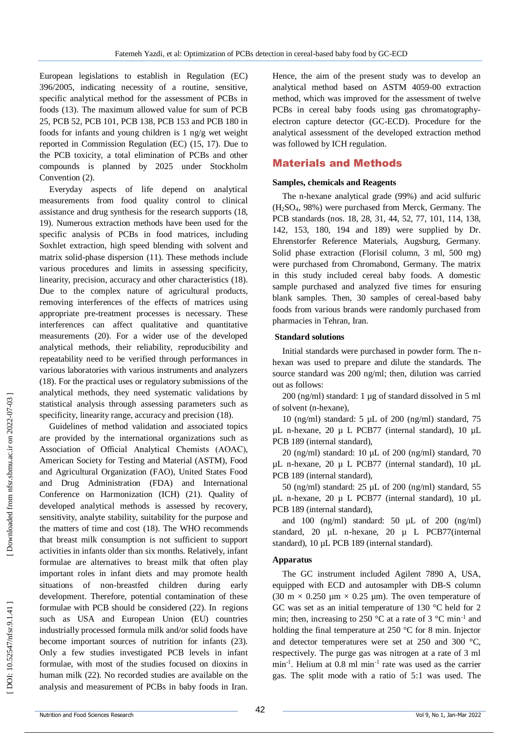European legislations to establish in Regulation (EC) 396/2005, indicating necessity of a routine, sensitive, specific analytical method for the assessment of PCBs in foods (13). The maximum allowed value for sum of PCB 25, PCB 52, PCB 101, PCB 138, PCB 153 and PCB 180 in foods for infants and young children is 1 ng/g wet weight reported in Commission Regulation (EC) (15, 17). Due to the PCB toxicity, a total elimination of PCBs and other compounds is planned by 2025 under Stockholm Convention (2) .

Everyday aspects of life depend on analytical measurements from food quality control to clinical assistance and drug synthesis for the research supports (18, 19). Numerous extraction methods have been used for the specific analysis of PCBs in food matrices, including Soxhlet extraction, high speed blending with solvent and matrix solid -phase dispersion (11). These methods include various procedures and limits in assessing specificity, linearity, precision, accuracy and other characteristics (18). Due to the complex nature of agricultural products, removing interferences of the effects of matrices using appropriate pre -treatment processes is necessary. These interferences can affect qualitative and quantitative measurements (20). For a wider use of the developed analytical methods, their reliability, reproducibility and repeatability need to be verified through performances in various laboratories with various instruments and analyzers (18). For the practical uses or regulatory submissions of the analytical methods, they need systematic validations by statistical analysis through assessing parameters such as specificity, linearity range, accuracy and precision (18) .

Guidelines of method validation and associated topics are provided by the international organizations such as Association of Official Analytical Chemists (AOAC), American Society for Testing and Material (ASTM), Food and Agricultural Organization (FAO), United States Food and Drug Administration (FDA) and International Conference on Harmonization (ICH) (21). Quality of developed analytical methods is assessed by recovery, sensitivity, analyte stability, suitability for the purpose and the matters of time and cost (18). The WHO recommends that breast milk consumption is not sufficient to support activities in infants older than six months. Relatively, infant formulae are alternatives to breast milk that often play important roles in infant diets and may promote health situations of non -breastfed children during early development. Therefore, potential contamination of these formulae with PCB should be considered (22). In regions such as USA and European Union (EU) countries industrially processed formula milk and/or solid foods have become important sources of nutrition for infants (23). Only a few studies investigated PCB levels in infant formulae, with most of the studies focused on dioxins in human milk (22). No recorded studies are available on the analysis and measurement of PCBs in baby foods in Iran.

Hence, the aim of the present study was to develop an analytical method based on ASTM 4059 -00 extraction method, which was improved for the assessment of twelve PCBs in cereal baby foods using gas chromatographyelectron capture detector (GC -ECD). Procedure for the analytical assessment of the developed extraction method was followed by ICH regulation.

## Material s and Methods

#### **Samples, chemicals and Reagents**

The n -hexane analytical grade (99%) and acid sulfuric (H <sup>2</sup>SO <sup>4</sup>, 98%) were purchased from Merck, Germany. The PCB standards (nos. 18, 28, 31, 44, 52, 77, 101, 114, 138, 142, 153, 180, 194 and 189) were supplied by Dr. Ehrenstorfer Reference Materials, Augsburg, Germany. Solid phase extraction (Florisil column, 3 ml, 500 mg) were purchased from Chromabond, Germany. The matrix in this study included cereal baby foods. A domestic sample purchased and analyzed five times for ensuring blank samples. Then, 30 samples of cereal -based baby foods from various brands were randomly purchased from pharmacies in Tehran, Iran.

#### **Standard solutions**

Initial standards were purchased in powder form. The n hexan was used to prepare and dilute the standards. The source standard was 200 ng/ml; then, dilution was carried out as follows:

200 (ng/ml) standard: 1 µg of standard dissolved in 5 ml of solvent (n -hexane),

10 (ng/ml) standard: 5 µL of 200 (ng/ml) standard, 75 µL n -hexane, 20 µ L PCB77 (internal standard), 10 µL PCB 189 (internal standard),

20 (ng/ml) standard: 10 µL of 200 (ng/ml) standard, 70 µL n -hexane, 20 µ L PCB77 (internal standard), 10 µL PCB 189 (internal standard),

50 (ng/ml) standard: 25 µL of 200 (ng/ml) standard, 55 µL n -hexane, 20 µ L PCB77 (internal standard), 10 µL PCB 189 (internal standard),

and 100 (ng/ml) standard:  $50 \mu L$  of  $200 \text{ (ng/ml)}$ standard, 20 µL n -hexane, 20 µ L PCB77(internal standard), 10 µL PCB 189 (internal standard).

### **Apparatus**

The GC instrument included Agilent 7890 A, USA, equipped with ECD and autosampler with DB -S column (30 m  $\times$  0.250 µm  $\times$  0.25 µm). The oven temperature of GC was set as an initial temperature of 130 °C held for 2 min; then, increasing to 250 °C at a rate of 3 °C min<sup>-1</sup> and holding the final temperature at 250 °C for 8 min. Injector and detector temperatures were set at 250 and 300 °C, respectively. The purge gas was nitrogen at a rate of 3 ml min<sup>-1</sup>. Helium at 0.8 ml min<sup>-1</sup> rate was used as the carrier gas. The split mode with a ratio of 5:1 was used. The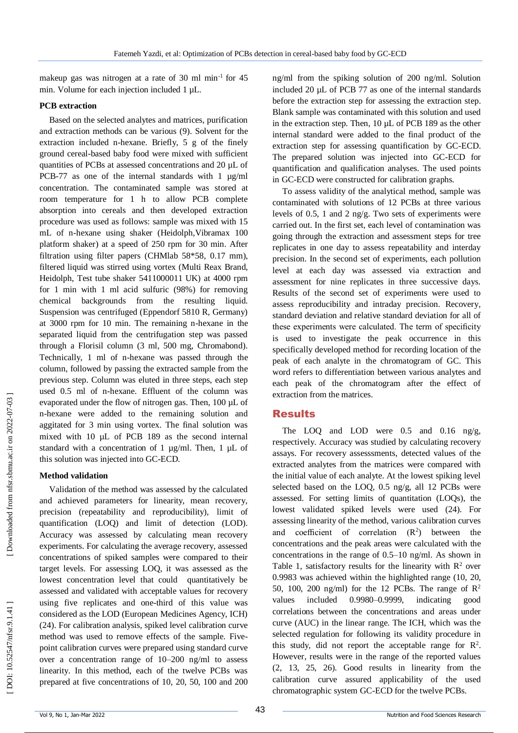makeup gas was nitrogen at a rate of 30 ml min<sup>-1</sup> for 45 min. Volume for each injection included 1 µL.

### **PCB extraction**

Based on the selected analytes and matrices, purification and extraction methods can be various (9). Solvent for the extraction included n -hexane. Briefly, 5 g of the finely ground cereal -based baby food were mixed with sufficient quantities of PCBs at assessed concentrations and 20 µL of PCB-77 as one of the internal standards with 1 µg/ml concentration. The contaminated sample was stored at room temperature for 1 h to allow PCB complete absorption into cereals and then developed extraction procedure was used as follows: sample was mixed with 15 mL of n -hexane using shaker (Heidolph,Vibramax 100 platform shaker) at a speed of 250 rpm for 30 min. After filtration using filter papers (CHMlab 58\*58, 0.17 mm), filtered liquid was stirred using vortex (Multi Reax Brand, Heidolph, Test tube shaker 5411000011 UK) at 4000 rpm for 1 min with 1 ml acid sulfuric (98%) for removing chemical backgrounds from the resulting liquid. Suspension was centrifuged (Eppendorf 5810 R, Germany) at 3000 rpm for 10 min. The remaining n -hexane in the separated liquid from the centrifugation step was passed through a Florisil column (3 ml, 500 mg, Chromabond). Technically, 1 ml of n-hexane was passed through the column, followed by passing the extracted sample from the previous step. Column was eluted in three steps, each step used 0.5 ml of n -hexane. Effluent of the column was evaporated under the flow of nitrogen gas. Then, 100 µL of n-hexane were added to the remaining solution and aggitated for 3 min using vortex. The final solution was mixed with 10 µL of PCB 189 as the second internal standard with a concentration of 1 µg/ml. Then, 1 µL of this solution was injected into GC -ECD.

## **Method validation**

Validation of the method was assessed by the calculated and achieved parameters for linearity, mean recovery, precision (repeatability and reproducibility), limit of quantification (LOQ) and limit of detection (LOD). Accuracy was assessed by calculating mean recovery experiments. For calculating the average recovery, assessed concentrations of spiked samples were compared to their target levels. For assessing LOQ, it was assessed as the lowest concentration level that could quantitatively be assessed and validated with acceptable values for recovery using five replicates and one -third of this value was considered as the LOD (European Medicines Agency, ICH) (24). For calibration analysis, spiked level calibration curve method was used to remove effects of the sample. Five point calibration curves were prepared using standard curve over a concentration range of 10 –200 ng/ml to assess linearity. In this method, each of the twelve PCBs was prepared at five concentrations of 10, 20, 50, 100 and 200

ng/ml from the spiking solution of 200 ng/ml. Solution included 20 µL of PCB 77 as one of the internal standards before the extraction step for assessing the extraction step. Blank sample was contaminated with this solution and used in the extraction step. Then, 10 µL of PCB 189 as the other internal standard were added to the final product of the extraction step for assessing quantification by GC -ECD. The prepared solution was injected into GC -ECD for quantification and qualification analyses. The used points in GC -ECD were constructed for calibration graphs.

To assess validity of the analytical method, sample was contaminated with solutions of 12 PCBs at three various levels of 0.5, 1 and 2 ng/g. Two sets of experiments were carried out. In the first set, each level of contamination was going through the extraction and assessment steps for tree replicates in one day to assess repeatability and interday precision. In the second set of experiments, each pollution level at each day was assessed via extraction and assessment for nine replicates in three successive days. Results of the second set of experiments were used to assess reproducibility and intraday precision. Recovery, standard deviation and relative standard deviation for all of these experiments were calculated. The term of specificity is used to investigate the peak occurrence in this specifically developed method for recording location of the peak of each analyte in the chromatogram of GC. This word refers to differentiation between various analytes and each peak of the chromatogram after the effect of extraction from the matrices.

# Results

The LOQ and LOD were 0.5 and 0.16 ng/g, respectively. Accuracy was studied by calculating recovery assays. For recovery assesssments, detected values of the extracted analytes from the matrices were compared with the initial value of each analyte. At the lowest spiking level selected based on the LOQ, 0.5 ng/g, all 12 PCBs were assessed. For setting limits of quantitation (LOQs), the lowest validated spiked levels were used (24). For assessing linearity of the method, various calibration curves and coefficient of correlation  $(R^2)$  between the concentrations and the peak areas were calculated with the concentrations in the range of 0.5 –10 ng/ml. As shown in Table 1, satisfactory results for the linearity with  $\mathbb{R}^2$  over 0.9983 was achieved within the highlighted range (10, 20, 50, 100, 200 ng/ml) for the 12 PCBs. The range of  $\mathbb{R}^2$ values included 0.9980–0.9999, indicating good correlations between the concentrations and areas under curve (AUC) in the linear range. The ICH, which was the selected regulation for following its validity procedure in this study, did not report the acceptable range for  $\mathbb{R}^2$ . However, results were in the range of the reported values (2, 13, 25, 26). Good results in linearity from the calibration curve assured applicability of the used chromatographic system GC -ECD for the twelve PCBs.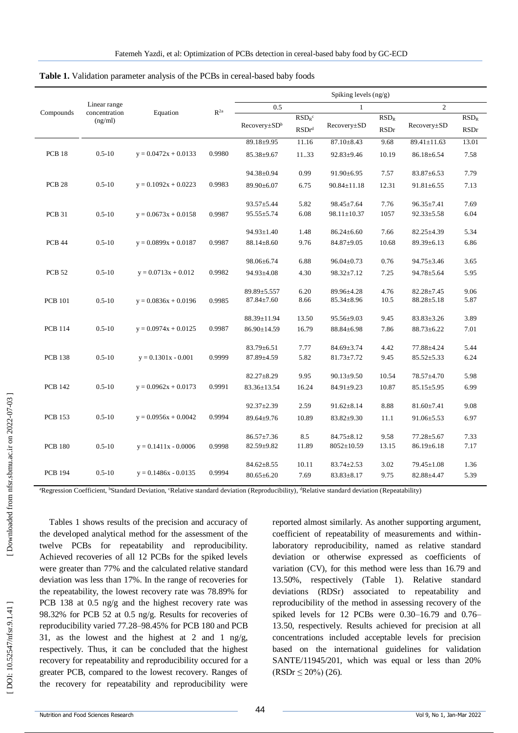|                   |                          |                        | $R^{2a}$ | Spiking levels $(ng/g)$  |                            |                   |             |                   |             |  |
|-------------------|--------------------------|------------------------|----------|--------------------------|----------------------------|-------------------|-------------|-------------------|-------------|--|
| Compounds         | Linear range             |                        |          | 0.5                      |                            | $\mathbf{1}$      |             | $\overline{c}$    |             |  |
|                   | concentration<br>(ng/ml) | Equation               |          |                          | $RSDR$ c                   | Recovery±SD       | $RSD_R$     |                   | $RSD_R$     |  |
|                   |                          |                        |          | Recovery±SD <sup>b</sup> | $\mathrm{RSDr}^\mathrm{d}$ |                   | <b>RSDr</b> | $Recovery \pm SD$ | <b>RSDr</b> |  |
|                   |                          |                        |          | 89.18±9.95               | 11.16                      | $87.10 \pm 8.43$  | 9.68        | 89.41±11.63       | 13.01       |  |
| <b>PCB 18</b>     | $0.5 - 10$               | $y = 0.0472x + 0.0133$ | 0.9980   | $85.38 \pm 9.67$         | 11.33                      | $92.83 \pm 9.46$  | 10.19       | $86.18 \pm 6.54$  | 7.58        |  |
|                   |                          |                        |          | 94.38±0.94               | 0.99                       | $91.90 \pm 6.95$  | 7.57        | $83.87 \pm 6.53$  | 7.79        |  |
| PCB <sub>28</sub> | $0.5 - 10$               | $y = 0.1092x + 0.0223$ | 0.9983   | 89.90±6.07               | 6.75                       | $90.84 \pm 11.18$ | 12.31       | $91.81 \pm 6.55$  | 7.13        |  |
|                   |                          |                        |          | $93.57 \pm 5.44$         | 5.82                       | $98.45 \pm 7.64$  | 7.76        | $96.35 \pm 7.41$  | 7.69        |  |
| PCB 31            | $0.5 - 10$               | $y = 0.0673x + 0.0158$ | 0.9987   | $95.55 \pm 5.74$         | 6.08                       | $98.11 \pm 10.37$ | 1057        | $92.33 \pm 5.58$  | 6.04        |  |
|                   |                          |                        |          | $94.93 \pm 1.40$         | 1.48                       | $86.24 \pm 6.60$  | 7.66        | $82.25 \pm 4.39$  | 5.34        |  |
| <b>PCB 44</b>     | $0.5 - 10$               | $y = 0.0899x + 0.0187$ | 0.9987   | $88.14 \pm 8.60$         | 9.76                       | 84.87±9.05        | 10.68       | $89.39 \pm 6.13$  | 6.86        |  |
|                   |                          |                        |          | 98.06±6.74               | 6.88                       | $96.04 \pm 0.73$  | 0.76        | $94.75 \pm 3.46$  | 3.65        |  |
| <b>PCB 52</b>     | $0.5 - 10$               | $y = 0.0713x + 0.012$  | 0.9982   | 94.93±4.08               | 4.30                       | $98.32 \pm 7.12$  | 7.25        | 94.78±5.64        | 5.95        |  |
|                   |                          |                        |          | 89.89±5.557              | 6.20                       | 89.96±4.28        | 4.76        | $82.28 \pm 7.45$  | 9.06        |  |
| <b>PCB</b> 101    | $0.5 - 10$               | $y = 0.0836x + 0.0196$ | 0.9985   | $87.84 \pm 7.60$         | 8.66                       | $85.34 \pm 8.96$  | 10.5        | $88.28 \pm 5.18$  | 5.87        |  |
|                   |                          |                        |          | 88.39±11.94              | 13.50                      | $95.56 \pm 9.03$  | 9.45        | $83.83 \pm 3.26$  | 3.89        |  |
| <b>PCB 114</b>    | $0.5 - 10$               | $y = 0.0974x + 0.0125$ | 0.9987   | 86.90±14.59              | 16.79                      | $88.84 \pm 6.98$  | 7.86        | $88.73 \pm 6.22$  | 7.01        |  |
|                   |                          |                        |          | $83.79 \pm 6.51$         | 7.77                       | $84.69 \pm 3.74$  | 4.42        | 77.88±4.24        | 5.44        |  |
| <b>PCB 138</b>    | $0.5 - 10$               | $y = 0.1301x - 0.001$  | 0.9999   | $87.89 \pm 4.59$         | 5.82                       | $81.73 \pm 7.72$  | 9.45        | $85.52 \pm 5.33$  | 6.24        |  |
|                   |                          |                        |          | $82.27 \pm 8.29$         | 9.95                       | $90.13 \pm 9.50$  | 10.54       | 78.57±4.70        | 5.98        |  |
| <b>PCB 142</b>    | $0.5 - 10$               | $y = 0.0962x + 0.0173$ | 0.9991   | 83.36±13.54              | 16.24                      | $84.91 \pm 9.23$  | 10.87       | $85.15 \pm 5.95$  | 6.99        |  |
|                   |                          |                        |          | $92.37 \pm 2.39$         | 2.59                       | $91.62 \pm 8.14$  | 8.88        | $81.60 \pm 7.41$  | 9.08        |  |
| <b>PCB</b> 153    | $0.5 - 10$               | $y = 0.0956x + 0.0042$ | 0.9994   | 89.64±9.76               | 10.89                      | $83.82 \pm 9.30$  | 11.1        | $91.06 \pm 5.53$  | 6.97        |  |
|                   |                          |                        |          | $86.57 \pm 7.36$         | 8.5                        | $84.75 \pm 8.12$  | 9.58        | $77.28 \pm 5.67$  | 7.33        |  |
| <b>PCB 180</b>    | $0.5 - 10$               | $y = 0.1411x - 0.0006$ | 0.9998   | 82.59±9.82               | 11.89                      | $8052 \pm 10.59$  | 13.15       | $86.19 \pm 6.18$  | 7.17        |  |
|                   |                          |                        |          | $84.62 \pm 8.55$         | 10.11                      | $83.74 \pm 2.53$  | 3.02        | 79.45±1.08        | 1.36        |  |
| <b>PCB 194</b>    | $0.5 - 10$               | $y = 0.1486x - 0.0135$ | 0.9994   | $80.65 \pm 6.20$         | 7.69                       | $83.83 \pm 8.17$  | 9.75        | 82.88±4.47        | 5.39        |  |

Table 1. Validation parameter analysis of the PCBs in cereal-based baby foods

<sup>a</sup>Regression Coefficient, <sup>b</sup>Standard Deviation, <sup>c</sup>Relative standard deviation (Reproducibility), <sup>d</sup>Relative standard deviation (Repeatability)

Tables 1 shows results of the precision and accuracy of the developed analytical method for the assessment of the twelve PCBs for repeatability and reproducibility. Achieved recoveries of all 12 PCBs for the spiked levels were greater than 77% and the calculated relative standard deviation was less than 17%. In the range of recoveries for the repeatability, the lowest recovery rate was 78.89% for PCB 138 at 0.5 ng/g and the highest recovery rate was 98.32% for PCB 52 at 0.5 ng/g. Results for recoveries of reproducibility varied 77.28 –98.45% for PCB 180 and PCB 31, as the lowest and the highest at 2 and 1 ng/g, respectively. Thus, it can be concluded that the highest recovery for repeatability and reproducibility occured for a greater PCB, compared to the lowest recovery. Ranges of the recovery for repeatability and reproducibility were

reported almost similarly. As another supporting argument, coefficient of repeatability of measurements and within laboratory reproducibility, named as relative standard deviation or otherwise expressed as coefficients of variation (CV), for this method were less than 16.79 and 13.50%, respectively (Table 1). Relative standard deviations (RDSr) associated to repeatability and reproducibility of the method in assessing recovery of the spiked levels for 12 PCBs were 0.30-16.79 and 0.76-13.50, respectively. Results achieved for precision at all concentrations included acceptable levels for precision based on the international guidelines for validation SANTE/11945/201, which was equal or less than 20%  $(RSDr \leq 20\%)$  (26).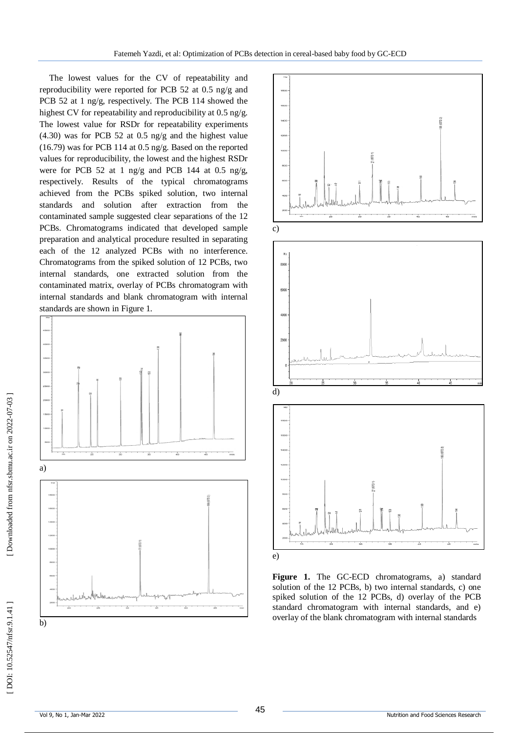The lowest values for the CV of repeatability and reproducibility were reported for PCB 52 at 0.5 ng/g and PCB 52 at 1 ng/g, respectively. The PCB 114 showed the highest CV for repeatability and reproducibility at 0.5 ng/g. The lowest value for RSDr for repeatability experiments (4.30) was for PCB 52 at 0.5 ng/g and the highest value (16.79) was for PCB 114 at 0.5 ng/g. Based on the reported values for reproducibility, the lowest and the highest RSDr were for PCB 52 at 1 ng/g and PCB 144 at 0.5 ng/g, respectively. Results of the typical chromatograms achieved from the PCBs spiked solution, two internal standards and solution after extraction from the contaminated sample suggested clear separations of the 12 PCBs. Chromatograms indicated that developed sample preparation and analytical procedure resulted in separating each of the 12 analyzed PCBs with no interference. Chromatograms from the spiked solution of 12 PCBs, two internal standards, one extracted solution from the contaminated matrix, overlay of PCBs chromatogram with internal standards and blank chromatogram with internal





**Figure 1.** The GC -ECD chromatograms, a) standard solution of the 12 PCBs, b) two internal standards, c) one spiked solution of the 12 PCBs, d) overlay of the PCB standard chromatogram with internal standards, and e) overlay of the blank chromatogram with internal standards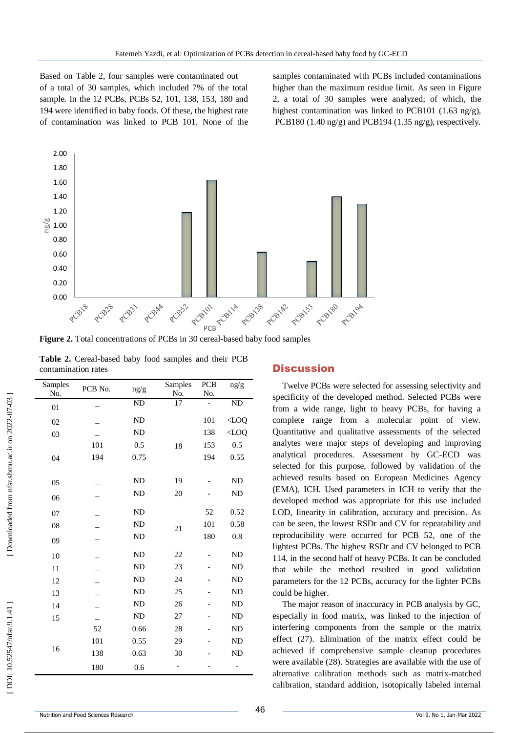Based on Table 2, four samples were contaminated out of a total of 30 samples, which included 7% of the total sample. In the 12 PCBs, PCBs 52, 101, 138, 153, 180 and 194 were identified in baby foods. Of these, the highest rate of contamination was linked to PCB 101. None of the samples contaminated with PCBs included contaminations higher than the maximum residue limit. As seen in Figure 2, a total of 30 samples were analyzed; of which, the highest contamination was linked to PCB101 (1.63 ng/g), PCB180 (1.40 ng/g) and PCB194 (1.35 ng/g), respectively.



Figure 2. Total concentrations of PCBs in 30 cereal-based baby food samples

|  | Table 2. Cereal-based baby food samples and their PCB |  |  |  |
|--|-------------------------------------------------------|--|--|--|
|  | contamination rates                                   |  |  |  |

| Samples | PCB No. | ng/g      | Samples | PCB            | ng/g      |
|---------|---------|-----------|---------|----------------|-----------|
| No.     |         |           | No.     | No.            |           |
| 01      |         | ND        | 17      | $\overline{a}$ | ND        |
| 02      |         | ND        |         | 101            | $<$ LOQ   |
| 03      |         | <b>ND</b> |         | 138            | $<$ LOQ   |
|         | 101     | 0.5       | 18      | 153            | 0.5       |
| 04      | 194     | 0.75      |         | 194            | 0.55      |
|         |         |           |         |                |           |
| 05      |         | <b>ND</b> | 19      |                | <b>ND</b> |
| 06      |         | <b>ND</b> | 20      |                | <b>ND</b> |
| 07      |         | <b>ND</b> |         | 52             | 0.52      |
| 08      |         | <b>ND</b> | 21      | 101            | 0.58      |
| 09      |         | <b>ND</b> |         | 180            | 0.8       |
| 10      |         | <b>ND</b> | 22      |                | ND        |
| 11      |         | ND        | 23      |                | ND        |
| 12      |         | <b>ND</b> | 24      |                | <b>ND</b> |
| 13      |         | <b>ND</b> | 25      |                | <b>ND</b> |
| 14      |         | <b>ND</b> | 26      |                | <b>ND</b> |
| 15      |         | <b>ND</b> | 27      |                | <b>ND</b> |
|         | 52      | 0.66      | 28      |                | <b>ND</b> |
|         | 101     | 0.55      | 29      |                | <b>ND</b> |
| 16      | 138     | 0.63      | 30      |                | <b>ND</b> |
|         | 180     | 0.6       |         |                |           |

#### **Discussion**

Twelve PCBs were selected for assessing selectivity and specificity of the developed method. Selected PCBs were from a wide range, light to heavy PCBs, for having a complete range from a molecular point of view. Quantitative and qualitative assessments of the selected analytes were major steps of developing and improving analytical procedures. Assessment by GC -ECD was selected for this purpose, followed by validation of the achieved results based on European Medicines Agency (EMA), ICH. Used parameters in ICH to verify that the developed method was appropriate for this use included LOD, linearity in calibration, accuracy and precision. As can be seen, the lowest RSDr and CV for repeatability and reproducibility were occurred for PCB 52, one of the lightest PCBs. The highest RSDr and CV belonged to PCB 114, in the second half of heavy PCBs. It can be concluded that while the method resulted in good validation parameters for the 12 PCBs, accuracy for the lighter PCBs could be higher.

The major reason of inaccuracy in PCB analysis by GC, especially in food matrix, was linked to the injection of interfering components from the sample or the matrix effect (27). Elimination of the matrix effect could be achieved if comprehensive sample cleanup procedures were available (28). Strategies are available with the use of alternative calibration methods such as matrix -matched calibration, standard addition, isotopically labeled internal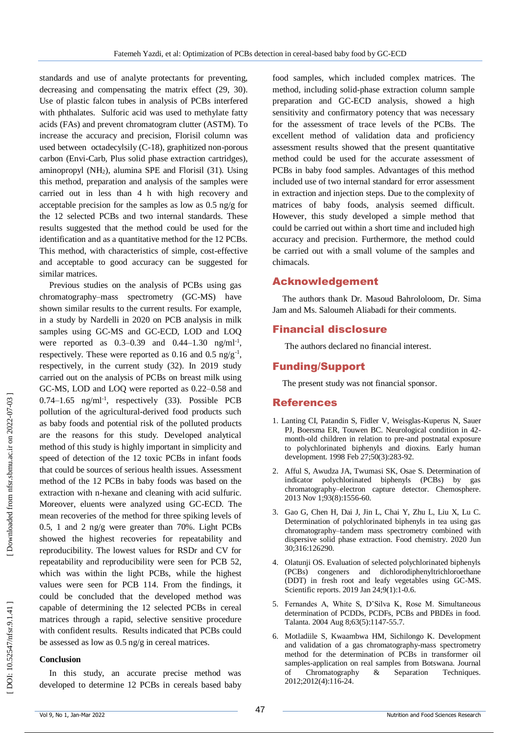standards and use of analyte protectants for preventing, decreasing and compensating the matrix effect (29, 30). Use of plastic falcon tubes in analysis of PCBs interfered with phthalates. Sulforic acid was used to methylate fatty acids (FAs) and prevent chromatogram clutter (ASTM). To increase the accuracy and precision, Florisil column was used between octadecylsily (C -18), graphitized non -porous carbon (Envi -Carb, Plus solid phase extraction cartridges), aminopropyl (NH <sup>2</sup>), alumina SPE and Florisil (31). Using this method, preparation and analysis of the samples were carried out in less than 4 h with high recovery and acceptable precision for the samples as low as 0.5 ng/g for the 12 selected PCBs and two internal standards. These results suggested that the method could be used for the identification and as a quantitative method for the 12 PCBs. This method, with characteristics of simple, cost-effective and acceptable to good accuracy can be suggested for similar matrices.

Previous studies on the analysis of PCBs using gas chromatography–mass spectrometry (GC -MS) have shown similar results to the current results. For example, in a study by Nardelli in 2020 on PCB analysis in milk samples using GC-MS and GC-ECD, LOD and LOQ were reported as  $0.3 - 0.39$  and  $0.44 - 1.30$  ng/ml<sup>-1</sup>, respectively. These were reported as  $0.16$  and  $0.5$  ng/g<sup>-1</sup>, respectively, in the current study (32). In 2019 study carried out on the analysis of PCBs on breast milk using GC -MS, LOD and LOQ were reported as 0.22 –0.58 and  $0.74-1.65$  ng/ml<sup>-1</sup>, respectively (33). Possible PCB pollution of the agricultural -derived food products such as baby foods and potential risk of the polluted products are the reasons for this study. Developed analytical method of this study is highly important in simplicity and speed of detection of the 12 toxic PCBs in infant foods that could be sources of serious health issues. Assessment method of the 12 PCBs in baby foods was based on the extraction with n -hexane and cleaning with acid sulfuric. Moreover, eluents were analyzed using GC -ECD. The mean recoveries of the method for three spiking levels of 0.5, 1 and 2 ng/g were greater than 70%. Light PCBs showed the highest recoveries for repeatability and reproducibility. The lowest values for RSDr and CV for repeatability and reproducibility were seen for PCB 52, which was within the light PCBs, while the highest values were seen for PCB 114. From the findings, it could be concluded that the developed method was capable of determining the 12 selected PCBs in cereal matrices through a rapid, selective sensitive procedure with confident results. Results indicated that PCBs could be assessed as low as 0.5 ng/g in cereal matrices.

#### **Conclusion**

In this study, an accurate precise method was developed to determine 12 PCBs in cereals based baby

food samples, which included complex matrices. The method, including solid -phase extraction column sample preparation and GC -ECD analysis, showed a high sensitivity and confirmatory potency that was necessary for the assessment of trace levels of the PCBs. The excellent method of validation data and proficiency assessment results showed that the present quantitative method could be used for the accurate assessment of PCBs in baby food samples. Advantages of this method included use of two internal standard for error assessment in extraction and injection steps. Due to the complexity of matrices of baby foods, analysis seemed difficult. However, this study developed a simple method that could be carried out within a short time and included high accuracy and precision. Furthermore, the method could be carried out with a small volume of the samples and chimacals.

## Acknowledgement

The authors thank Dr. Masoud Bahrololoom, Dr. Sima Jam and Ms. Saloumeh Aliabadi for their comments .

## Financial disclosure

The authors declared no financial interest.

## Funding/Support

The present study was not financial sponsor.

### References

- 1. Lanting CI, Patandin S, Fidler V, Weisglas -Kuperus N, Sauer PJ, Boersma ER, Touwen BC. Neurological condition in 42 month -old children in relation to pre -and postnatal exposure to polychlorinated biphenyls and dioxins. Early human development. 1998 Feb 27;50(3):283 -92.
- 2. Afful S, Awudza JA, Twumasi SK, Osae S. Determination of indicator polychlorinated biphenyls (PCBs) by gas chromatography–electron capture detector. Chemosphere. 2013 Nov 1;93(8):1556 -60.
- 3. Gao G, Chen H, Dai J, Jin L, Chai Y, Zhu L, Liu X, Lu C. Determination of polychlorinated biphenyls in tea using gas chromatography–tandem mass spectrometry combined with dispersive solid phase extraction. Food chemistry. 2020 Jun 30;316:126290.
- 4. Olatunji OS. Evaluation of selected polychlorinated biphenyls (PCBs) congeners and dichlorodiphenyltrichloroethane (DDT) in fresh root and leafy vegetables using GC -MS. Scientific reports. 2019 Jan 24;9(1):1 -0.6.
- 5. Fernandes A, White S, D'Silva K, Rose M. Simultaneous determination of PCDDs, PCDFs, PCBs and PBDEs in food. Talanta. 2004 Aug 8;63(5):1147 -55.7.
- 6. Motladiile S, Kwaambwa HM, Sichilongo K. Development and validation of a gas chromatography -mass spectrometry method for the determination of PCBs in transformer oil samples -application on real samples from Botswana. Journal of Chromatography & Separation Techniques. 2012;2012(4):116 -24.